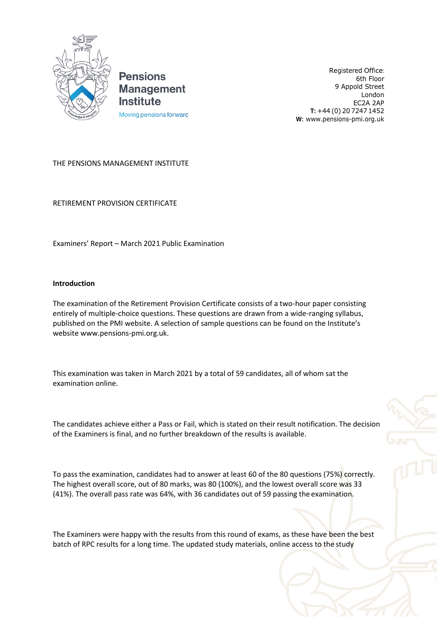

**Pensions Management Institute** Moving pensions forward

Registered Office: 6th Floor 9 Appold Street London EC2A 2AP **T:** +44 (0) 20 7247 1452 **W:** [www.pensions-pmi.org.uk](http://www.pensions-pmi.org.uk/)

## THE PENSIONS MANAGEMENT INSTITUTE

RETIREMENT PROVISION CERTIFICATE

Examiners' Report – March 2021 Public Examination

## **Introduction**

The examination of the Retirement Provision Certificate consists of a two-hour paper consisting entirely of multiple-choice questions. These questions are drawn from a wide-ranging syllabus, published on the PMI website. A selection of sample questions can be found on the Institute's websit[e www.pensions-pmi.org.uk.](http://www.pensions-pmi.org.uk/)

This examination was taken in March 2021 by a total of 59 candidates, all of whom sat the examination online.

The candidates achieve either a Pass or Fail, which is stated on their result notification. The decision of the Examiners is final, and no further breakdown of the results is available.

To pass the examination, candidates had to answer at least 60 of the 80 questions (75%) correctly. The highest overall score, out of 80 marks, was 80 (100%), and the lowest overall score was 33 (41%). The overall pass rate was 64%, with 36 candidates out of 59 passing the examination.

The Examiners were happy with the results from this round of exams, as these have been the best batch of RPC results for a long time. The updated study materials, online access to the study